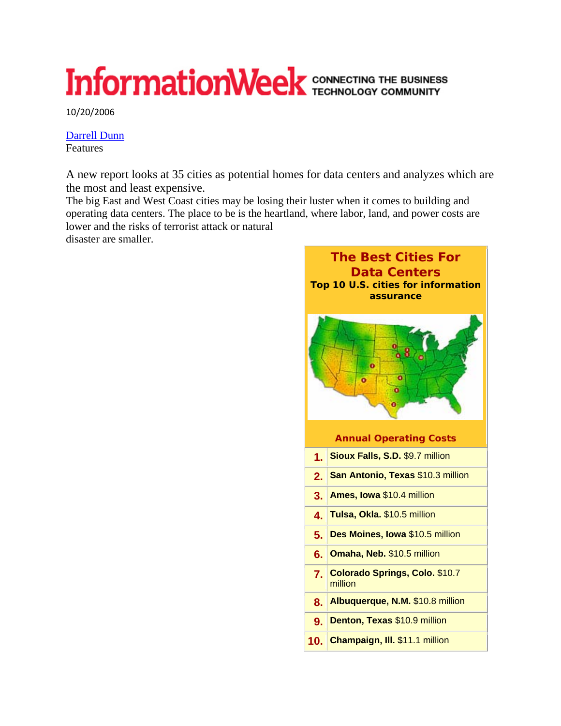## InformationWeek CONNECTING THE BUSINESS

10/20/2006

Darrell Dunn Features

A new report looks at 35 cities as potential homes for data centers and analyzes which are the most and least expensive.

The big East and West Coast cities may be losing their luster when it comes to building and operating data centers. The place to be is the heartland, where labor, land, and power costs are lower and the risks of terrorist attack or natural

disaster are smaller.

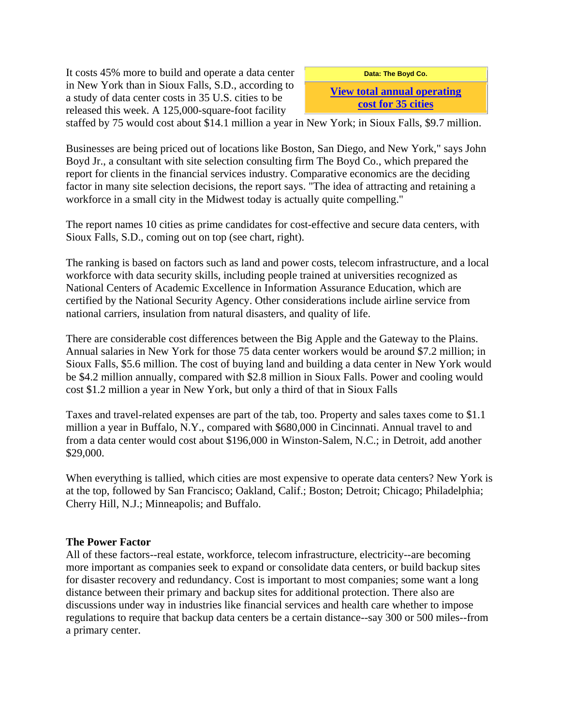It costs 45% more to build and operate a data center in New York than in Sioux Falls, S.D., according to a study of data center costs in 35 U.S. cities to be released this week. A 125,000-square-foot facility

**Data: The Boyd Co.** 

**View total annual operating cost for 35 cities**

staffed by 75 would cost about \$14.1 million a year in New York; in Sioux Falls, \$9.7 million.

Businesses are being priced out of locations like Boston, San Diego, and New York," says John Boyd Jr., a consultant with site selection consulting firm The Boyd Co., which prepared the report for clients in the financial services industry. Comparative economics are the deciding factor in many site selection decisions, the report says. "The idea of attracting and retaining a workforce in a small city in the Midwest today is actually quite compelling."

The report names 10 cities as prime candidates for cost-effective and secure data centers, with Sioux Falls, S.D., coming out on top (see chart, right).

The ranking is based on factors such as land and power costs, telecom infrastructure, and a local workforce with data security skills, including people trained at universities recognized as National Centers of Academic Excellence in Information Assurance Education, which are certified by the National Security Agency. Other considerations include airline service from national carriers, insulation from natural disasters, and quality of life.

There are considerable cost differences between the Big Apple and the Gateway to the Plains. Annual salaries in New York for those 75 data center workers would be around \$7.2 million; in Sioux Falls, \$5.6 million. The cost of buying land and building a data center in New York would be \$4.2 million annually, compared with \$2.8 million in Sioux Falls. Power and cooling would cost \$1.2 million a year in New York, but only a third of that in Sioux Falls

Taxes and travel-related expenses are part of the tab, too. Property and sales taxes come to \$1.1 million a year in Buffalo, N.Y., compared with \$680,000 in Cincinnati. Annual travel to and from a data center would cost about \$196,000 in Winston-Salem, N.C.; in Detroit, add another \$29,000.

When everything is tallied, which cities are most expensive to operate data centers? New York is at the top, followed by San Francisco; Oakland, Calif.; Boston; Detroit; Chicago; Philadelphia; Cherry Hill, N.J.; Minneapolis; and Buffalo.

## **The Power Factor**

All of these factors--real estate, workforce, telecom infrastructure, electricity--are becoming more important as companies seek to expand or consolidate data centers, or build backup sites for disaster recovery and redundancy. Cost is important to most companies; some want a long distance between their primary and backup sites for additional protection. There also are discussions under way in industries like financial services and health care whether to impose regulations to require that backup data centers be a certain distance--say 300 or 500 miles--from a primary center.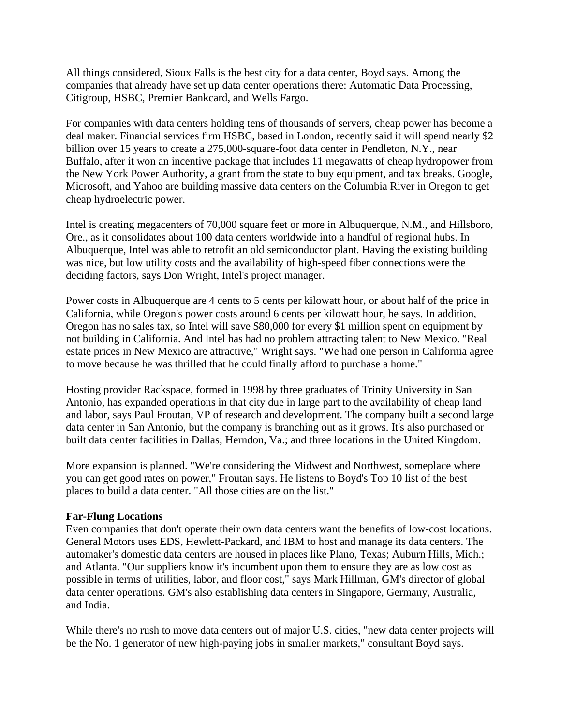All things considered, Sioux Falls is the best city for a data center, Boyd says. Among the companies that already have set up data center operations there: Automatic Data Processing, Citigroup, HSBC, Premier Bankcard, and Wells Fargo.

For companies with data centers holding tens of thousands of servers, cheap power has become a deal maker. Financial services firm HSBC, based in London, recently said it will spend nearly \$2 billion over 15 years to create a 275,000-square-foot data center in Pendleton, N.Y., near Buffalo, after it won an incentive package that includes 11 megawatts of cheap hydropower from the New York Power Authority, a grant from the state to buy equipment, and tax breaks. Google, Microsoft, and Yahoo are building massive data centers on the Columbia River in Oregon to get cheap hydroelectric power.

Intel is creating megacenters of 70,000 square feet or more in Albuquerque, N.M., and Hillsboro, Ore., as it consolidates about 100 data centers worldwide into a handful of regional hubs. In Albuquerque, Intel was able to retrofit an old semiconductor plant. Having the existing building was nice, but low utility costs and the availability of high-speed fiber connections were the deciding factors, says Don Wright, Intel's project manager.

Power costs in Albuquerque are 4 cents to 5 cents per kilowatt hour, or about half of the price in California, while Oregon's power costs around 6 cents per kilowatt hour, he says. In addition, Oregon has no sales tax, so Intel will save \$80,000 for every \$1 million spent on equipment by not building in California. And Intel has had no problem attracting talent to New Mexico. "Real estate prices in New Mexico are attractive," Wright says. "We had one person in California agree to move because he was thrilled that he could finally afford to purchase a home."

Hosting provider Rackspace, formed in 1998 by three graduates of Trinity University in San Antonio, has expanded operations in that city due in large part to the availability of cheap land and labor, says Paul Froutan, VP of research and development. The company built a second large data center in San Antonio, but the company is branching out as it grows. It's also purchased or built data center facilities in Dallas; Herndon, Va.; and three locations in the United Kingdom.

More expansion is planned. "We're considering the Midwest and Northwest, someplace where you can get good rates on power," Froutan says. He listens to Boyd's Top 10 list of the best places to build a data center. "All those cities are on the list."

## **Far-Flung Locations**

Even companies that don't operate their own data centers want the benefits of low-cost locations. General Motors uses EDS, Hewlett-Packard, and IBM to host and manage its data centers. The automaker's domestic data centers are housed in places like Plano, Texas; Auburn Hills, Mich.; and Atlanta. "Our suppliers know it's incumbent upon them to ensure they are as low cost as possible in terms of utilities, labor, and floor cost," says Mark Hillman, GM's director of global data center operations. GM's also establishing data centers in Singapore, Germany, Australia, and India.

While there's no rush to move data centers out of major U.S. cities, "new data center projects will be the No. 1 generator of new high-paying jobs in smaller markets," consultant Boyd says.